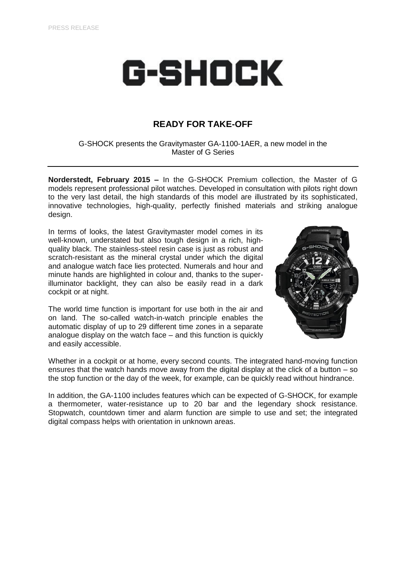# G-SHOCK

## **READY FOR TAKE-OFF**

G-SHOCK presents the Gravitymaster GA-1100-1AER, a new model in the Master of G Series

**Norderstedt, February 2015 –** In the G-SHOCK Premium collection, the Master of G models represent professional pilot watches. Developed in consultation with pilots right down to the very last detail, the high standards of this model are illustrated by its sophisticated, innovative technologies, high-quality, perfectly finished materials and striking analogue design.

In terms of looks, the latest Gravitymaster model comes in its well-known, understated but also tough design in a rich, highquality black. The stainless-steel resin case is just as robust and scratch-resistant as the mineral crystal under which the digital and analogue watch face lies protected. Numerals and hour and minute hands are highlighted in colour and, thanks to the superilluminator backlight, they can also be easily read in a dark cockpit or at night.

The world time function is important for use both in the air and on land. The so-called watch-in-watch principle enables the automatic display of up to 29 different time zones in a separate analogue display on the watch face – and this function is quickly and easily accessible.



Whether in a cockpit or at home, every second counts. The integrated hand-moving function ensures that the watch hands move away from the digital display at the click of a button – so the stop function or the day of the week, for example, can be quickly read without hindrance.

In addition, the GA-1100 includes features which can be expected of G-SHOCK, for example a thermometer, water-resistance up to 20 bar and the legendary shock resistance. Stopwatch, countdown timer and alarm function are simple to use and set; the integrated digital compass helps with orientation in unknown areas.